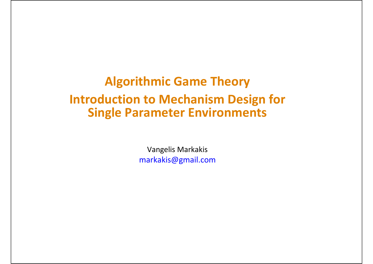### **Algorithmic Game Theory Introduction to Mechanism Design for Single Parameter Environments**

Vangelis Markakis markakis@gmail.com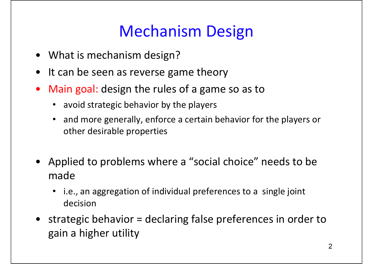### Mechanism Design

- What is mechanism design?
- It can be seen as reverse game theory
- $\bullet$  Main goal: design the rules of <sup>a</sup> game so as to
	- avoid strategic behavior by the players
	- • and more generally, enforce <sup>a</sup> certain behavior for the players or other desirable properties
- Applied to problems where <sup>a</sup> "social choice" needs to be made
	- i.e., an aggregation of individual preferences to <sup>a</sup> single joint decision
- strategic behavior <sup>=</sup> declaring false preferences in order to gain <sup>a</sup> higher utility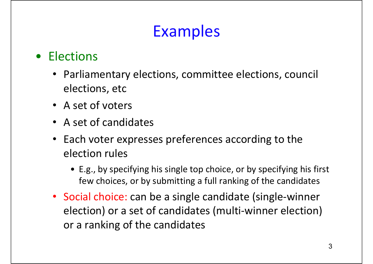## Examples

#### • Elections

- Parliamentary elections, committee elections, council elections, etc
- A set of voters
- A set of candidates
- Each voter expresses preferences according to the election rules
	- E.g., by specifying his single top choice, or by specifying his first few choices, or by submitting <sup>a</sup> full ranking of the candidates
- Social choice: can be a single candidate (single-winner election) or <sup>a</sup> set of candidates (multi‐winner election) or a ranking of the candidates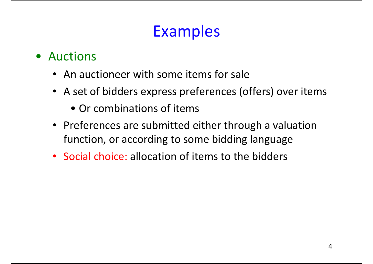## Examples

- Auctions
	- An auctioneer with some items for sale
	- A set of bidders express preferences (offers) over items
		- Or combinations of items
	- Preferences are submitted either through <sup>a</sup> valuation function, or according to some bidding language
	- Social choice: allocation of items to the bidders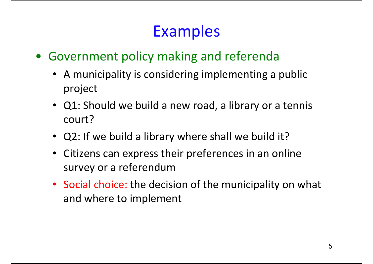### Examples

- Government policy making and referenda
	- A municipality is considering implementing <sup>a</sup> public project
	- Q1: Should we build <sup>a</sup> new road, <sup>a</sup> library or <sup>a</sup> tennis court?
	- Q2: If we build <sup>a</sup> library where shall we build it?
	- Citizens can express their preferences in an online survey or <sup>a</sup> referendum
	- Social choice: the decision of the municipality on what and where to implement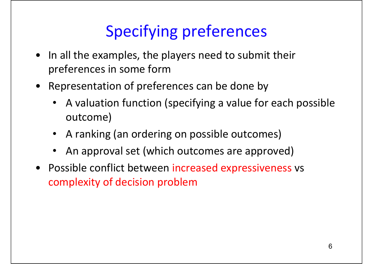## Specifying preferences

- In all the examples, the players need to submit their preferences in some form
- Representation of preferences can be done by
	- A valuation function (specifying <sup>a</sup> value for each possible outcome)
	- A ranking (an ordering on possible outcomes)
	- •An approval set (which outcomes are approved)
- Possible conflict between increased expressiveness vs complexity of decision problem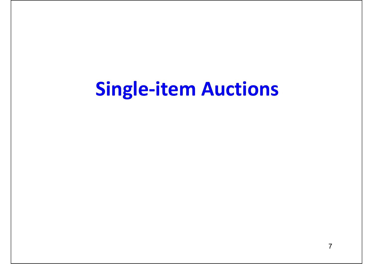# **Single‐item Auctions**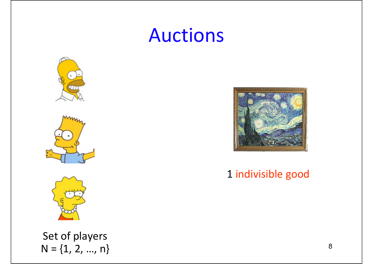# Auctions



Set of players  $N = \{1, 2, ..., n\}$ 



1 indivisible good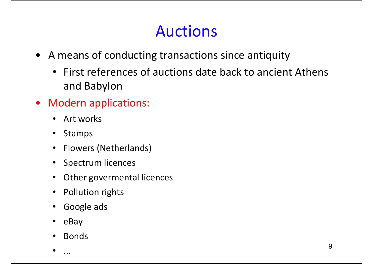### Auctions

- A means of conducting transactions since antiquity
	- First references of auctions date back to ancient Athens and Babylon
- Modern applications:
	- Art works
	- Stamps
	- Flowers (Netherlands)
	- Spectrum licences
	- Other govermental licences
	- Pollution rights
	- Google ads
	- eBay
	- •Bonds

•...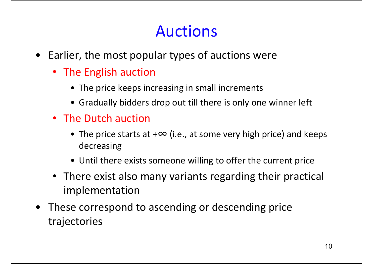### Auctions

- Earlier, the most popular types of auctions were
	- The English auction
		- The price keeps increasing in small increments
		- Gradually bidders drop out till there is only one winner left
	- The Dutch auction
		- The price starts at <sup>+</sup><sup>∞</sup> (i.e., at some very high price) and keeps decreasing
		- Until there exists someone willing to offer the current price
	- There exist also many variants regarding their practical implementation
- These correspond to ascending or descending price trajectories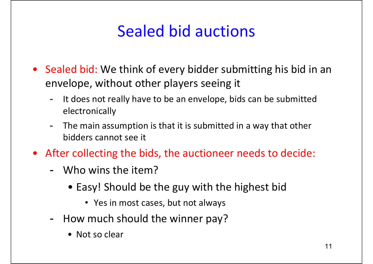### Sealed bid auctions

- Sealed bid: We think of every bidder submitting his bid in an envelope, without other players seeing it
	- -- It does not really have to be an envelope, bids can be submitted electronically
	- - The main assumption is that it is submitted in <sup>a</sup> way that other bidders cannot see it
- After collecting the bids, the auctioneer needs to decide:
	- Who wins the item?
		- Easy! Should be the guy with the highest bid
			- Yes in most cases, but not always
	- How much should the winner pay?
		- Not so clear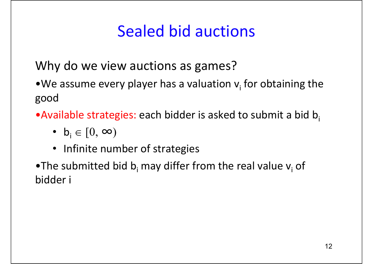### Sealed bid auctions

Why do we view auctions as games?

 $\bullet$  We assume every player has a valuation  $\mathsf{v}_{\mathsf{i}}$  for obtaining the good

 $\bullet$ Available strategies: each bidder is asked to submit a bid b

- $b_i \in [0, \infty)$
- Infinite number of strategies

 $\bullet$ The submitted bid b<sub>i</sub> may differ from the real value v<sub>i</sub> of bidder i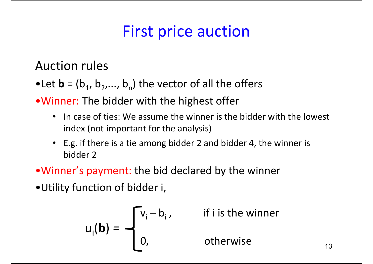# First price auction

Auction rules

- $\bullet$  Let  $\textbf{b}$  = (b<sub>1</sub>, b<sub>2</sub>,..., b<sub>n</sub>) the vector of all the offers
- •Winner: The bidder with the highest offer
	- •• In case of ties: We assume the winner is the bidder with the lowest index (not important for the analysis)
	- E.g. if there is <sup>a</sup> tie among bidder 2 and bidder 4, the winner is bidder 2
- •Winner's payment: the bid declared by the winner
- •Utility function of bidder i,

$$
u_i(\mathbf{b}) = \begin{cases} v_i - b_i, & \text{if } i \text{ is the winner} \\ 0, & \text{otherwise} \end{cases}
$$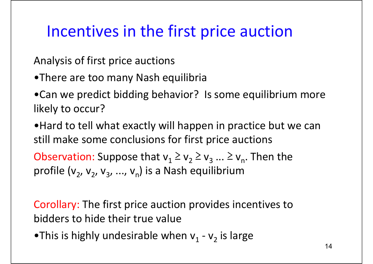### Incentives in the first price auction

Analysis of first price auctions

- •There are too many Nash equilibria
- •Can we predict bidding behavior? Is some equilibrium more likely to occur?

•Hard to tell what exactly will happen in practice but we can still make some conclusions for first price auctions

Observation: Suppose that  $v_1 \geq v_2 \geq v_3 ... \geq v_n$ . Then the profile  $(v_2, v_2, v_3, ..., v_n)$  is a Nash equilibrium

Corollary: The first price auction provides incentives to bidders to hide their true value

 $\bullet$ This is highly undesirable when v $_1$  - v $_2$  is large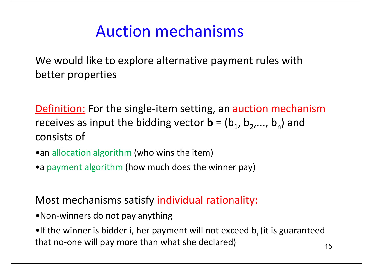### Auction mechanisms

We would like to explore alternative payment rules with better properties

Definition: For the single-item setting, an auction mechanism receives as input the bidding vector  $\mathbf{b}$  = ( $\mathsf{b}_1$ ,  $\mathsf{b}_2, ...,$   $\mathsf{b}_n$ ) and consists of

- •an allocation algorithm (who wins the item)
- •a payment algorithm (how much does the winner pay)

#### Most mechanisms satisfy individual rationality:

- •Non‐winners do not pay anything
- $\bullet$ If the winner is bidder i, her payment will not exceed  $\mathsf{b}_\mathsf{i}$  (it is guaranteed that no-one will pay more than what she declared)  $15$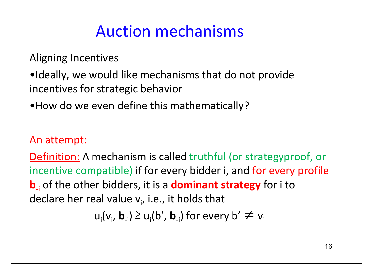### Auction mechanisms

Aligning Incentives

- •Ideally, we would like mechanisms that do not provide incentives for strategic behavior
- •How do we even define this mathematically?

#### An attempt:

Definition: A mechanism is called truthful (or strategyproof, or incentive compatible) if for every bidder i, and for every profile **b**<sub>i</sub> of the other bidders, it is a **dominant strategy** for i to declare her real value v<sub>i</sub>, i.e., it holds that

 $u_i(v_i, b_{-i}) \ge u_i(b', b_{-i})$  for every  $b' \ne v_i$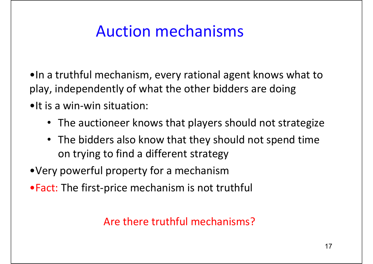### Auction mechanisms

- •In <sup>a</sup> truthful mechanism, every rational agent knows what to play, independently of what the other bidders are doing
- •It is a win‐win situation:
	- The auctioneer knows that players should not strategize
	- The bidders also know that they should not spend time on trying to find <sup>a</sup> different strategy
- •Very powerful property for <sup>a</sup> mechanism
- Fact: The first-price mechanism is not truthful

#### Are there truthful mechanisms?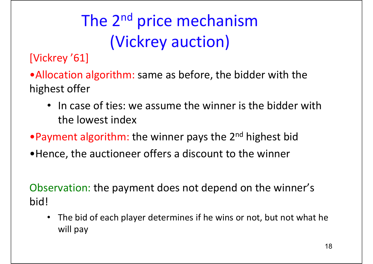# The 2<sup>nd</sup> price mechanism (Vickrey auction)

[Vickrey '61]

- •Allocation algorithm: same as before, the bidder with the highest offer
	- In case of ties: we assume the winner is the bidder with the lowest index
- •Payment algorithm: the winner pays the 2<sup>nd</sup> highest bid
- •Hence, the auctioneer offers <sup>a</sup> discount to the winner

Observation: the payment does not depend on the winner's bid!

 $\bullet$  The bid of each player determines if he wins or not, but not what he will pay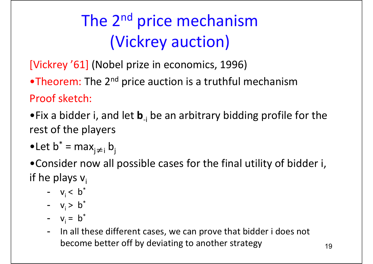# The 2<sup>nd</sup> price mechanism (Vickrey auction)

[Vickrey '61] (Nobel prize in economics, 1996)

 $\bullet$ Theorem: The 2<sup>nd</sup> price auction is a truthful mechanism Proof sketch:

- •Fix a bidder i, and let **b**‐<sup>i</sup> be an arbitrary bidding profile for the rest of the players
- $\bullet$ Let b $^*$  = max $_{j\neq j}$  b

•Consider now all possible cases for the final utility of bidder i, if he plays v<sub>i</sub>

- $v_i < b^*$
- $v_i > b^*$
- $v_i = b^*$
- -- In all these different cases, we can prove that bidder i does not become better off by deviating to another strategy  $19$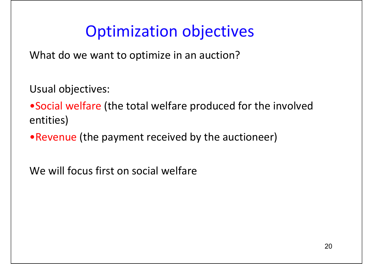### Optimization objectives

What do we want to optimize in an auction?

Usual objectives:

•Social welfare (the total welfare produced for the involved entities)

•Revenue (the payment received by the auctioneer)

We will focus first on social welfare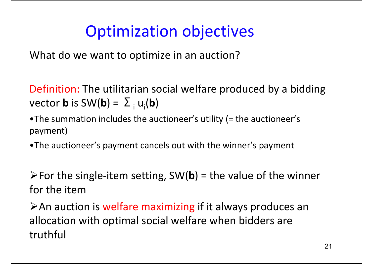### Optimization objectives

What do we want to optimize in an auction?

Definition: The utilitarian social welfare produced by a bidding  $\mathsf{vector}\ \mathsf{b}$  is SW( $\mathsf{b}$ ) =  $\sum_i \mathsf{u}_i(\mathsf{b})$ 

- •The summation includes the auctioneer's utility (= the auctioneer's payment)
- •The auctioneer's payment cancels out with the winner's payment

¾For the single‐item setting, SW(**b**) <sup>=</sup> the value of the winner for the item

**≻An auction is welfare maximizing if it always produces an** allocation with optimal social welfare when bidders are truthful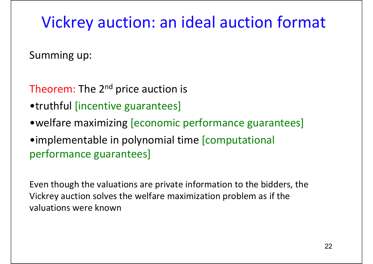### Vickrey auction: an ideal auction format

Summing up:

- Theorem: The 2<sup>nd</sup> price auction is
- •truthful [incentive guarantees]
- •welfare maximizing [economic performance guarantees]
- •implementable in polynomial time [computational performance guarantees]

Even though the valuations are private information to the bidders, the Vickrey auction solves the welfare maximization problem as if the valuations were known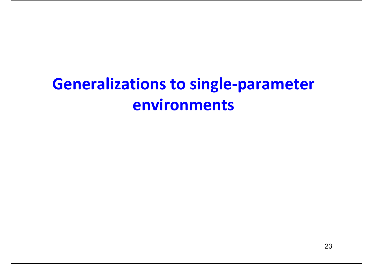## **Generalizations to single ‐parameter environments**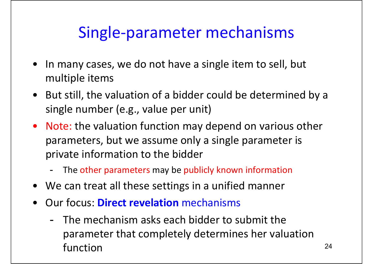### Single‐parameter mechanisms

- $\bullet$  In many cases, we do not have <sup>a</sup> single item to sell, but multiple items
- But still, the valuation of <sup>a</sup> bidder could be determined by <sup>a</sup> single number (e.g., value per unit)
- Note: the valuation function may depend on various other parameters, but we assume only <sup>a</sup> single parameter is private information to the bidder
	- -- The other parameters may be publicly known information
- We can treat all these settings in <sup>a</sup> unified manner
- $\bullet$  Our focus: **Direct revelation** mechanisms
	- The mechanism asks each bidder to submit the parameter that completely determines her valuation function $n \hspace{2.5cm}$  24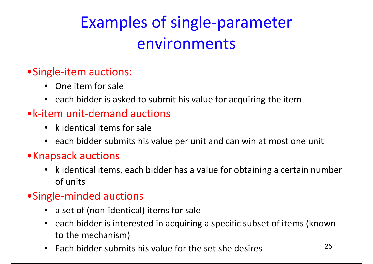# Examples of single‐parameter environments

#### •Single‐item auctions:

- One item for sale
- each bidder is asked to submit his value for acquiring the item

#### •k‐item unit‐demand auctions

- k identical items for sale
- each bidder submits his value per unit and can win at most one unit

#### •Knapsack auctions

• k identical items, each bidder has <sup>a</sup> value for obtaining <sup>a</sup> certain number of units

#### •Single‐minded auctions

- a set of (non-identical) items for sale
- each bidder is interested in acquiring <sup>a</sup> specific subset of items (known to the mechanism)
- $\bullet$ • Each bidder submits his value for the set she desires  $25$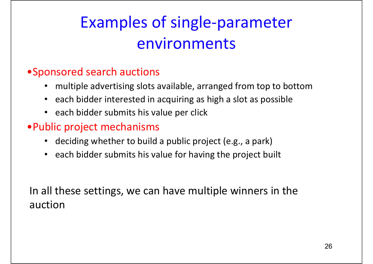# Examples of single‐parameter environments

#### •Sponsored search auctions

- multiple advertising slots available, arranged from top to bottom
- each bidder interested in acquiring as high <sup>a</sup> slot as possible
- each bidder submits his value per click

#### •Public project mechanisms

- deciding whether to build <sup>a</sup> public project (e.g., <sup>a</sup> park)
- each bidder submits his value for having the project built

In all these settings, we can have multiple winners in the auction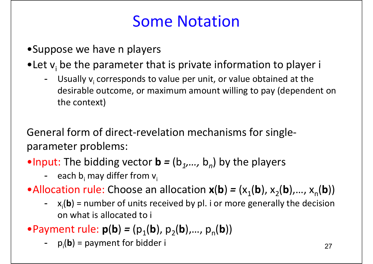### Some Notation

- •Suppose we have <sup>n</sup> players
- •Let  $v_i$  be the parameter that is private information to player i
	- -- Usually v<sub>i</sub> corresponds to value per unit, or value obtained at the desirable outcome, or maximum amount willing to pay (dependent on the context)

General form of direct‐revelation mechanisms for single‐ parameter problems:

•Input: The bidding vector  $\mathbf{b} = (b_1, ..., b_n)$  by the players

- each b<sub>i</sub> may differ from v<sub>i</sub>
- •Allocation rule: Choose an allocation  $\mathbf{x}(\mathbf{b}) = (x_1(\mathbf{b}), x_2(\mathbf{b}),..., x_n(\mathbf{b}))$ 
	- x<sub>i</sub>(b) = number of units received by pl. i or more generally the decision on what is allocated to i
- •Payment rule:  $p(b) = (p_1(b), p_2(b),..., p_n(b))$ 
	- $p_i(\mathbf{b}) =$  payment for bidder i 27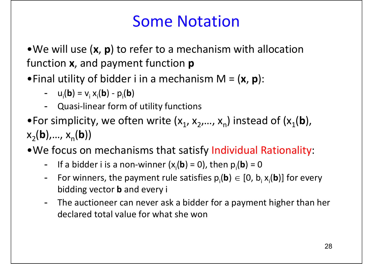### Some Notation

•We will use (**<sup>x</sup>**, **p**) to refer to <sup>a</sup> mechanism with allocation function **<sup>x</sup>**, and payment function **p**

•Final utility of bidder i in <sup>a</sup> mechanism M <sup>=</sup> (**<sup>x</sup>**, **p**):

- --  $u_i$ (**b**) =  $v_i x_i$ (**b**) -  $p_i$ (**b**)
- -Quasi‐linear form of utility functions
- $\bullet$  For simplicity, we often write (x<sub>1</sub>, x<sub>2</sub>,..., x<sub>n</sub>) instead of (x<sub>1</sub>(**b**),  $x_2(b),..., x_n(b))$
- •We focus on mechanisms that satisfy Individual Rationality:
	- -If a bidder i is a non-winner  $(x_i(b) = 0)$ , then  $p_i(b) = 0$
	- -For winners, the payment rule satisfies  $p_i(\mathbf{b}) \in [0, b_i x_i(\mathbf{b})]$  for every bidding vector **b** and every i
	- - The auctioneer can never ask <sup>a</sup> bidder for <sup>a</sup> payment higher than her declared total value for what she won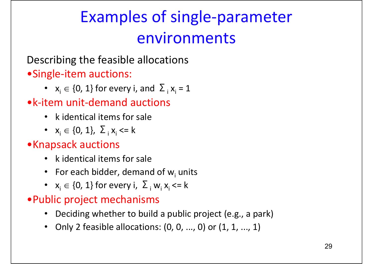# Examples of single‐parameter environments

#### Describing the feasible allocations •Single‐item auctions:

•  $x_i \in \{0, 1\}$  for every i, and  $\sum_i x_i = 1$ 

#### •k‐item unit‐demand auctions

- k identical items for sale
- $x_i \in \{0, 1\}, \Sigma_i x_i \le k$

#### •Knapsack auctions

- k identical items for sale
- For each bidder, demand of  $w_i$  units
- $x_i \in \{0, 1\}$  for every i,  $\sum_i w_i x_i$  <= k

#### •Public project mechanisms

- Deciding whether to build <sup>a</sup> public project (e.g., <sup>a</sup> park)
- Only 2 feasible allocations: (0, 0, ..., 0) or (1, 1, ..., 1)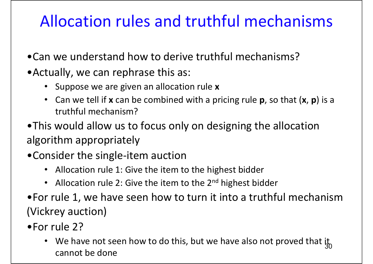### Allocation rules and truthful mechanisms

- •Can we understand how to derive truthful mechanisms?
- •Actually, we can rephrase this as:
	- Suppose we are given an allocation rule **<sup>x</sup>**
	- Can we tell if **<sup>x</sup>** can be combined with <sup>a</sup> pricing rule **p**, so that (**<sup>x</sup>**, **p**) is <sup>a</sup> truthful mechanism?
- •This would allow us to focus only on designing the allocation algorithm appropriately
- •Consider the single‐item auction
	- Allocation rule 1: Give the item to the highest bidder
	- Allocation rule 2: Give the item to the 2<sup>nd</sup> highest bidder
- •For rule 1, we have seen how to turn it into <sup>a</sup> truthful mechanism (Vickrey auction)
- •For rule 2?
	- We have not seen how to do this, but we have also not proved that it cannot be done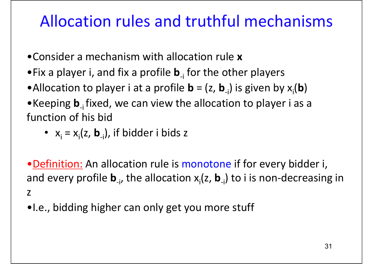### Allocation rules and truthful mechanisms

- •Consider a mechanism with allocation rule **<sup>x</sup>**
- •Fix a player i, and fix a profile **b**<sub>-i</sub> for the other players
- •Allocation to player i at a profile  $\mathbf{b}$  = (z,  $\mathbf{b}_{\text{-}i}$ ) is given by  $\mathsf{x}_{\text{i}}(\mathbf{b})$
- •Keeping **b**<sub>i</sub> fixed, we can view the allocation to player i as a function of his bid
	- $x_i = x_i(z, b_{-i})$ , if bidder i bids z

• Definition: An allocation rule is monotone if for every bidder i, and every profile **b**<sub>-i</sub>, the allocation x<sub>i</sub>(z, **b**<sub>-i</sub>) to i is non-decreasing in z

•I.e., bidding higher can only get you more stuff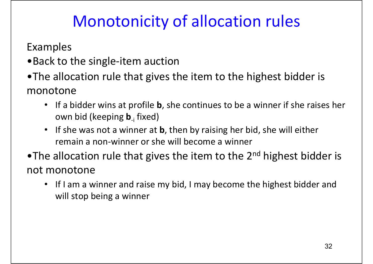### Monotonicity of allocation rules

Examples

- •Back to the single‐item auction
- •The allocation rule that gives the item to the highest bidder is monotone
	- If <sup>a</sup> bidder wins at profile **b**, she continues to be <sup>a</sup> winner if she raises her own bid (keeping **b**‐<sup>i</sup> fixed)
	- $\bullet$ • If she was not a winner at **b**, then by raising her bid, she will either remain <sup>a</sup> non‐winner or she will become <sup>a</sup> winner
- $\bullet$ The allocation rule that gives the item to the 2<sup>nd</sup> highest bidder is not monotone
	- If I am <sup>a</sup> winner and raise my bid, I may become the highest bidder and will stop being <sup>a</sup> winner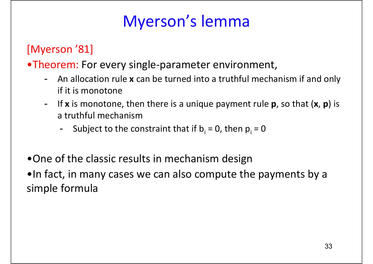[Myerson '81]

- •Theorem: For every single‐parameter environment,
	- - An allocation rule **<sup>x</sup>** can be turned into <sup>a</sup> truthful mechanism if and only if it is monotone
	- - If **<sup>x</sup>** is monotone, then there is <sup>a</sup> unique payment rule **p**, so that (**<sup>x</sup>**, **p**) is a truthful mechanism
		- -- Subject to the constraint that if  $b_i = 0$ , then  $p_i = 0$
- •One of the classic results in mechanism design

•In fact, in many cases we can also compute the payments by <sup>a</sup> simple formula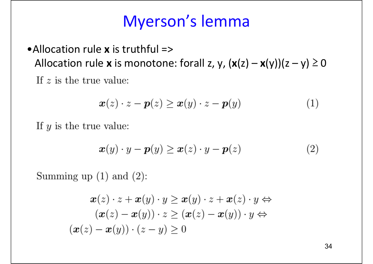•Allocation rule **<sup>x</sup>** is truthful => Allocation rule **<sup>x</sup>** is monotone: forall z, y, (**x**(z) – **<sup>x</sup>**(y))(z – y) ≥ 0 If  $z$  is the true value:

$$
\boldsymbol{x}(z) \cdot z - \boldsymbol{p}(z) \ge \boldsymbol{x}(y) \cdot z - \boldsymbol{p}(y) \tag{1}
$$

If  $y$  is the true value:

$$
\boldsymbol{x}(y) \cdot y - \boldsymbol{p}(y) \ge \boldsymbol{x}(z) \cdot y - \boldsymbol{p}(z) \tag{2}
$$

Summing up  $(1)$  and  $(2)$ :

$$
\boldsymbol{x}(z) \cdot z + \boldsymbol{x}(y) \cdot y \ge \boldsymbol{x}(y) \cdot z + \boldsymbol{x}(z) \cdot y \Leftrightarrow \n(\boldsymbol{x}(z) - \boldsymbol{x}(y)) \cdot z \ge (\boldsymbol{x}(z) - \boldsymbol{x}(y)) \cdot y \Leftrightarrow \n(\boldsymbol{x}(z) - \boldsymbol{x}(y)) \cdot (z - y) \ge 0
$$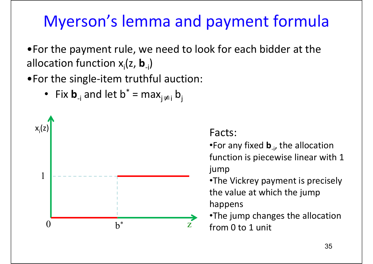### Myerson's lemma and payment formula

•For the payment rule, we need to look for each bidder at the allocation function x<sub>i</sub>(z, **b**<sub>-i</sub>)

•For the single‐item truthful auction:

• Fix  $\mathbf{b}_{\mathsf{-i}}$  and let  $\mathsf{b}^*$  = max $\mathsf{a}_{\mathsf{j}\neq\mathsf{i}}$   $\mathsf{b}_{\mathsf{j}}$ 



•For any fixed **b**‐i, the allocation function is piecewise linear with 1 jump

•The Vickrey payment is precisely the value at which the jump happens

•The jump changes the allocation from 0 to 1 unit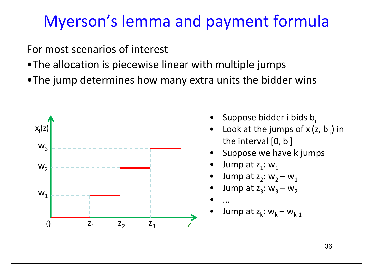### Myerson's lemma and payment formula

For most scenarios of interest

- •The allocation is piecewise linear with multiple jumps
- •The jump determines how many extra units the bidder wins



- •Suppose bidder i bids  $b_i$
- •Look at the jumps of  $x_i(z, b_{-i})$  in the interval [0, b<sub>i</sub>]
- •Suppose we have k jumps
- •Jump at  $z_1$ : w<sub>1</sub>
- •Jump at  $z_2$ :  $w_2 - w_1$
- •Jump at  $z_3$ :  $w_3 - w_2$
- •...
- •Jump at  $z_k$ :  $w_k - w_{k-1}$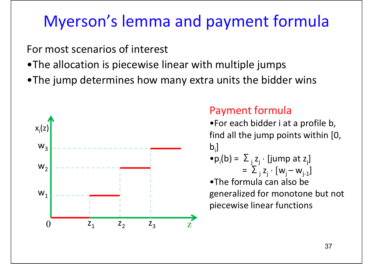### Myerson's lemma and payment formula

For most scenarios of interest

- •The allocation is piecewise linear with multiple jumps
- •The jump determines how many extra units the bidder wins



#### Payment formula

- •For each bidder i at <sup>a</sup> profile b, find all the jump points within [0,  $b_i$
- $\bullet$   $p_i(b) = \sum_i z_i \cdot [jump \atop i]$ = $= \sum_{i} z_{i} \cdot [w_{i} - w_{i-1}]$

•The formula can also be generalized for monotone but not piecewise linear functions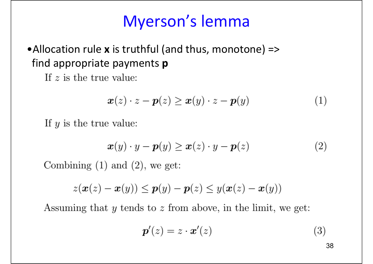#### •Allocation rule **<sup>x</sup>** is truthful (and thus, monotone) => find appropriate payments **p**

If  $z$  is the true value:

$$
\boldsymbol{x}(z) \cdot z - \boldsymbol{p}(z) \ge \boldsymbol{x}(y) \cdot z - \boldsymbol{p}(y) \tag{1}
$$

If  $y$  is the true value:

$$
\boldsymbol{x}(y) \cdot y - \boldsymbol{p}(y) \ge \boldsymbol{x}(z) \cdot y - \boldsymbol{p}(z) \tag{2}
$$

Combining  $(1)$  and  $(2)$ , we get:

$$
z(\boldsymbol{x}(z)-\boldsymbol{x}(y)) \leq \boldsymbol{p}(y)-\boldsymbol{p}(z) \leq y(\boldsymbol{x}(z)-\boldsymbol{x}(y))
$$

Assuming that  $y$  tends to  $z$  from above, in the limit, we get:

$$
\boldsymbol{p}'(z) = z \cdot \boldsymbol{x}'(z) \tag{3}
$$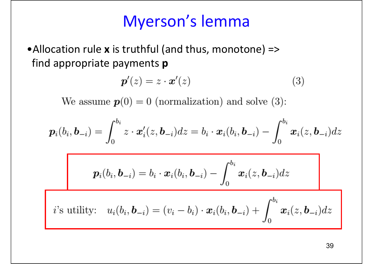•Allocation rule **<sup>x</sup>** is truthful (and thus, monotone) => find appropriate payments **p**

$$
\boldsymbol{p}'(z) = z \cdot \boldsymbol{x}'(z) \tag{3}
$$

We assume  $p(0) = 0$  (normalization) and solve (3):

$$
\boldsymbol{p}_i(b_i,\boldsymbol{b}_{-i})=\int_0^{b_i}z\cdot\boldsymbol{x}_i'(z,\boldsymbol{b}_{-i})dz=b_i\cdot\boldsymbol{x}_i(b_i,\boldsymbol{b}_{-i})-\int_0^{b_i}\boldsymbol{x}_i(z,\boldsymbol{b}_{-i})dz
$$

$$
\boldsymbol{p}_i(b_i,\boldsymbol{b}_{-i})=b_i\cdot \boldsymbol{x}_i(b_i,\boldsymbol{b}_{-i})-\int_0^{b_i}\boldsymbol{x}_i(z,\boldsymbol{b}_{-i})dz
$$

*i*'s utility: 
$$
u_i(b_i, \mathbf{b}_{-i}) = (v_i - b_i) \cdot \mathbf{x}_i(b_i, \mathbf{b}_{-i}) + \int_0^{b_i} \mathbf{x}_i(z, \mathbf{b}_{-i}) dz
$$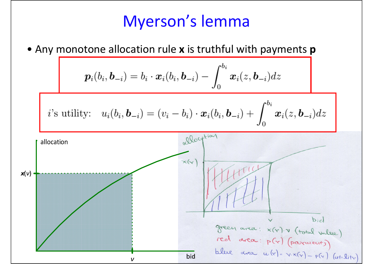#### • Any monotone allocation rule **<sup>x</sup>** is truthful with payments **p**

$$
p_i(b_i, b_{-i}) = b_i \cdot x_i(b_i, b_{-i}) - \int_0^{b_i} x_i(z, b_{-i}) dz
$$
\n*i*'s utility:  $u_i(b_i, b_{-i}) = (v_i - b_i) \cdot x_i(b_i, b_{-i}) + \int_0^{b_i} x_i(z, b_{-i}) dz$ \n  
\n
$$
u_i(t)
$$
\n  
\n
$$
u_i(t)
$$
\n  
\n
$$
u_i(t)
$$
\n  
\n
$$
u_i(t)
$$
\n  
\n
$$
u_i(t)
$$
\n  
\n
$$
u_i(t)
$$
\n  
\n
$$
u_i(t)
$$
\n  
\n
$$
u_i(t)
$$
\n  
\n
$$
u_i(t)
$$
\n  
\n
$$
u_i(t)
$$
\n  
\n
$$
u_i(t)
$$
\n  
\n
$$
u_i(t)
$$
\n  
\n
$$
u_i(t)
$$
\n  
\n
$$
u_i(t)
$$
\n  
\n
$$
u_i(t)
$$
\n  
\n
$$
u_i(t)
$$
\n  
\n
$$
u_i(t)
$$
\n  
\n
$$
u_i(t)
$$
\n  
\n
$$
u_i(t)
$$
\n  
\n
$$
u_i(t)
$$
\n  
\n
$$
u_i(t)
$$
\n  
\n
$$
u_i(t)
$$
\n  
\n
$$
u_i(t)
$$
\n  
\n
$$
u_i(t)
$$
\n  
\n
$$
u_i(t)
$$
\n  
\n
$$
u_i(t)
$$
\n  
\n
$$
u_i(t)
$$
\n  
\n
$$
u_i(t)
$$
\n  
\n
$$
u_i(t)
$$
\n  
\n
$$
u_i(t)
$$
\n  
\n
$$
u_i(t)
$$
\n  
\n
$$
u_i(t)
$$
\n  
\n
$$
u_i(t)
$$
\n  
\n
$$
u_i(t)
$$
\n  
\n
$$
u_i(t)
$$
\n  
\n
$$
u_i(t)
$$
\n  
\n
$$
u_i(t)
$$
\n  
\n
$$
u_i(t)
$$
\n  
\n
$$
u_i(t)
$$
\n  
\n
$$
u_i(t)
$$
\n  
\n<math display="</math>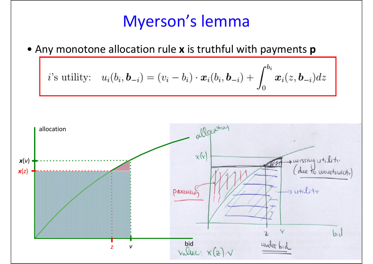• Any monotone allocation rule **<sup>x</sup>** is truthful with payments **p**

*i*'s utility: 
$$
u_i(b_i, \mathbf{b}_{-i}) = (v_i - b_i) \cdot \mathbf{x}_i(b_i, \mathbf{b}_{-i}) + \int_0^{b_i} \mathbf{x}_i(z, \mathbf{b}_{-i}) dz
$$

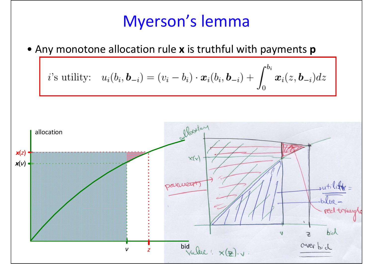• Any monotone allocation rule **<sup>x</sup>** is truthful with payments **p**

*i*'s utility: 
$$
u_i(b_i, \mathbf{b}_{-i}) = (v_i - b_i) \cdot \mathbf{x}_i(b_i, \mathbf{b}_{-i}) + \int_0^{b_i} \mathbf{x}_i(z, \mathbf{b}_{-i}) dz
$$